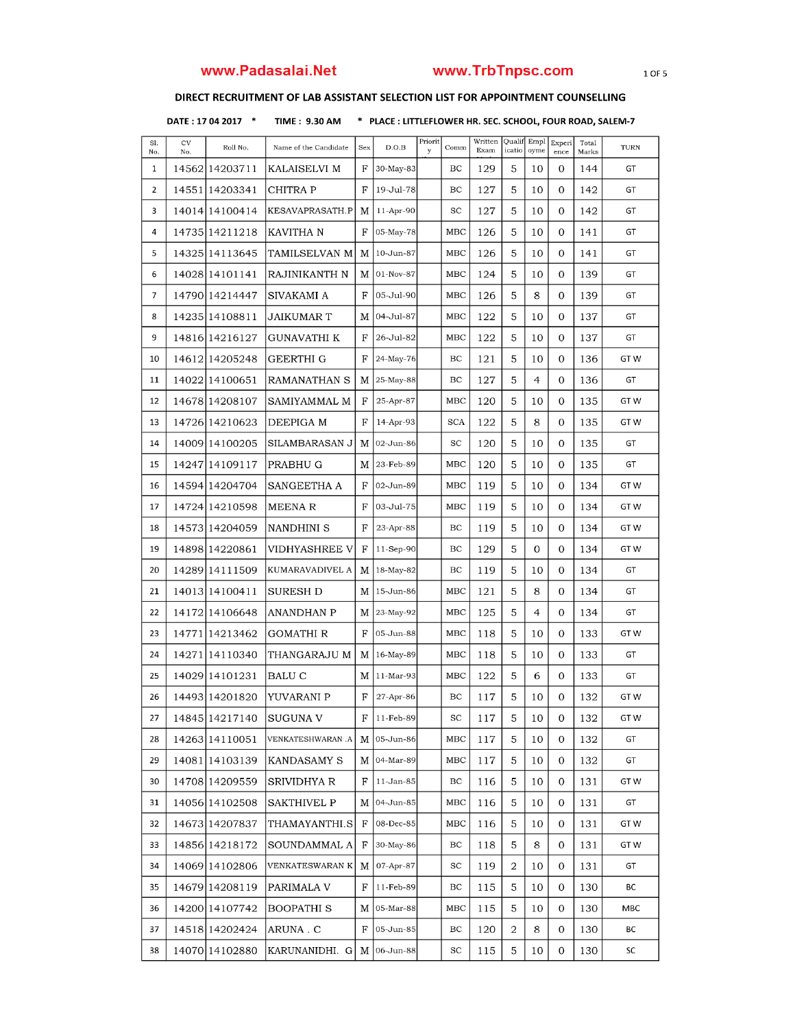# www.Padasalai.Net www.TrbTnpsc.com 10F5

### DIRECT RECRUITMENT OF LAB ASSISTANT SELECTION LIST FOR APPOINTMENT COUNSELLING

DATE : 17 04 2017 \* TIME : 9.30 AM \* PLACE : LITTLEFLOWER HR. SEC. SCHOOL, FOUR ROAD, SALEM-7

| Sl.<br>No.               | CV<br>No. | Roll No.        | Name of the Candidate | Sex          | D.O.B       | Priorit<br>y | Comm       | Written<br>Exam | Quali<br>icatio | Empl<br>oyme | Experi<br>ence | Total<br>Marks | TURN |
|--------------------------|-----------|-----------------|-----------------------|--------------|-------------|--------------|------------|-----------------|-----------------|--------------|----------------|----------------|------|
| 1                        |           | 14562 14203711  | KALAISELVI M          | F            | 30-May-83   |              | BC         | 129             | 5               | 10           | 0              | 144            | GT   |
| $\overline{2}$           |           | 14551 14203341  | CHITRA P              | $\mathbf{F}$ | 19-Jul-78   |              | BC         | 127             | 5               | 10           | 0              | 142            | GT   |
| 3                        |           | 14014114100414  | KESAVAPRASATH.P       | M            | $11-Apr-90$ |              | SC         | 127             | 5               | 10           | 0              | 142            | GT   |
| 4                        |           | 14735 1421 1218 | KAVITHA N             | F            | 05-May-78   |              | MBC        | 126             | 5               | 10           | $\Omega$       | 141            | GT   |
| 5                        |           | 14325 14113645  | TAMILSELVAN M         | M            | 10-Jun-87   |              | MBC        | 126             | 5               | 10           | 0              | 141            | GT   |
| 6                        |           | 14028 1410 1141 | RAJINIKANTH N         | M            | 01-Nov-87   |              | MBC        | 124             | 5               | 10           | 0              | 139            | GT   |
| $\overline{\phantom{a}}$ |           | 14790114214447  | SIVAKAMI A            | F            | 05-Jul-90   |              | MBC        | 126             | 5               | 8            | 0              | 139            | GT   |
| 8                        |           | 14235 14108811  | <b>JAIKUMAR T</b>     | M            | 04-Jul-87   |              | MBC        | 122             | 5               | 10           | 0              | 137            | GT   |
| 9                        |           | 14816 14216 127 | GUNAVATHI K           | F            | 26-Jul-82   |              | <b>MBC</b> | 122             | 5               | 10           | 0              | 137            | GT   |
| 10                       |           | 14612 14205248  | GEERTHI G             | F            | 24-May-76   |              | BC         | 121             | 5               | 10           | 0              | 136            | GT W |
| 11                       |           | 14022 14100651  | RAMANATHAN S          | M            | 25-May-88   |              | BC         | 127             | 5               | 4            | 0              | 136            | GT   |
| 12                       |           | 14678 14208 107 | SAMIYAMMAL M          | F            | 25-Apr-87   |              | MBC        | 120             | 5               | 10           | 0              | 135            | GT W |
| 13                       |           | 14726 14210623  | DEEPIGA M             | $_{\rm F}$   | 14-Apr-93   |              | <b>SCA</b> | 122             | 5               | 8            | $\mathbf{O}$   | 135            | GT W |
| 14                       |           | 14009114100205  | SILAMBARASAN J        | M            | 02-Jun-86   |              | SC         | 120             | 5               | 10           | 0              | 135            | GT   |
| 15                       |           | 14247 14109 117 | PRABHU G              | M            | 23-Feb-89   |              | MBC        | 120             | 5               | 10           | 0              | 135            | GT   |
| 16                       |           | 14594 14204704  | SANGEETHA A           | F            | 02-Jun-89   |              | MBC        | 119             | 5               | 10           | 0              | 134            | GT W |
| 17                       |           | 14724 14210598  | <b>MEENAR</b>         | F            | 03-Jul-75   |              | MBC        | 119             | 5               | 10           | 0              | 134            | GT W |
| 18                       |           | 14573 14204059  | NANDHINI S            | F            | 23-Apr-88   |              | BC         | 119             | 5               | 10           | 0              | 134            | GT W |
| 19                       |           | 14898114220861  | VIDHYASHREE V         | F            | 11-Sep-90   |              | BC         | 129             | 5               | 0            | 0              | 134            | GT W |
| 20                       | 14289     | 14111509        | KUMARAVADIVEL A       | M            | 18-May-82   |              | BC         | 119             | 5               | 10           | 0              | 134            | GT   |
| 21                       |           | 14013114100411  | SURESH D              | M            | 15-Jun-86   |              | <b>MBC</b> | 121             | 5               | 8            | 0              | 134            | GT   |
| 22                       |           | 14172 1410 6648 | <b>ANANDHAN P</b>     | M            | 23-May-92   |              | MBC        | 125             | 5               | 4            | 0              | 134            | GT   |
| 23                       | 14771     | 14213462        | GOMATHI R             | F            | 05-Jun-88   |              | MBC        | 118             | 5               | 10           | 0              | 133            | GT W |
| 24                       | 14271     | 14110340        | THANGARAJU M          | M            | 16-May-89   |              | MBC        | 118             | 5               | 10           | 0              | 133            | GT   |
| 25                       |           | 14029 14101231  | <b>BALU C</b>         | M            | 11-Mar-93   |              | MBC        | 122             | 5               | 6            | 0              | 133            | GT   |
| 26                       |           | 14493 1420 1820 | YUVARANI P            | F            | 27-Apr-86   |              | BC         | 117             | 5               | 10           | 0              | 132            | GT W |
| 27                       |           | 14845 14217140  | SUGUNA V              | F            | 11-Feb-89   |              | SC         | 117             | 5               | 10           | 0              | 132            | GT W |
| 28                       |           | 14263 14110051  | VENKATESHWARAN .A     | М            | 05-Jun-86   |              | MBC        | 117             | 5               | 10           | 0              | 132            | GT   |
| 29                       |           | 14081 14103139  | KANDASAMY S           | M            | 04-Mar-89   |              | MBC        | 117             | 5               | 10           | 0              | 132            | GT   |
| 30                       |           | 14708 14209559  | SRIVIDHYA R           | F            | 11-Jan-85   |              | ВC         | 116             | 5               | 10           | 0              | 131            | GT W |
| 31                       |           | 14056 14102508  | SAKTHIVEL P           | M            | 04-Jun-85   |              | MBC        | 116             | 5               | 10           | 0              | 131            | GT   |
| 32                       |           | 14673 14207837  | THAMAYANTHI.S         | $_{\rm F}$   | 08-Dec-85   |              | MBC        | 116             | 5               | 10           | 0              | 131            | GT W |
| 33                       |           | 14856 14218172  | SOUNDAMMAL A          | F            | 30-May-86   |              | ВC         | 118             | 5               | 8            | 0              | 131            | GT W |
| 34                       |           | 14069 14102806  | VENKATESWARAN K       | M            | 07-Apr-87   |              | SC         | 119             | 2               | 10           | 0              | 131            | GT   |
| 35                       |           | 14679 14208 119 | PARIMALA V            | F            | 11-Feb-89   |              | BC         | 115             | 5               | 10           | 0              | 130            | BС   |
| 36                       |           | 14200 14107742  | BOOPATHI <sub>S</sub> | М            | 05-Mar-88   |              | MBC        | 115             | 5               | 10           | 0              | 130            | MBC  |
| 37                       |           | 14518 1420 2424 | ARUNA.C               | F            | 05-Jun-85   |              | BC         | 120             | 2               | 8            | 0              | 130            | ВC   |
| 38                       |           | 14070 14102880  | KARUNANIDHI. G        | M            | 06-Jun-88   |              | SC         | 115             | 5               | 10           | 0              | 130            | SC   |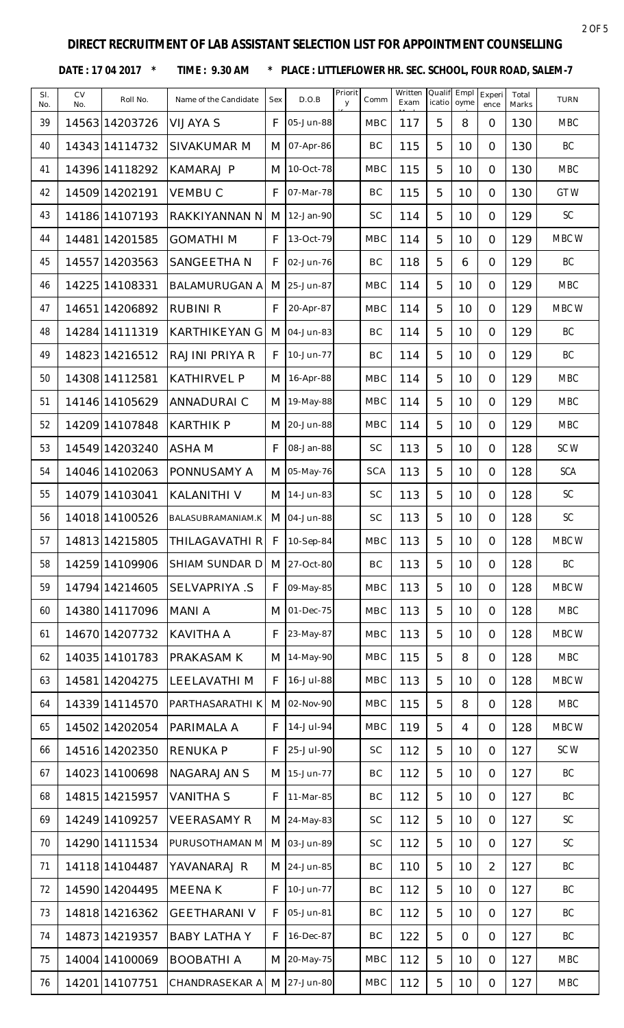DATE: 17 04 2017 \* TIME: 9.30 AM \* PLACE: LITTLEFLOWER HR. SEC. SCHOOL, FOUR ROAD, SALEM-7

| SI.<br>No. | <b>CV</b><br>No. | Roll No.       | Name of the Candidate | Sex | D.O.B       | Priorit<br>y | Comm       | Written<br>Exam | Qualif<br>icatio | Empl<br>oyme   | Experi<br>ence | Total<br>Marks | <b>TURN</b>   |
|------------|------------------|----------------|-----------------------|-----|-------------|--------------|------------|-----------------|------------------|----------------|----------------|----------------|---------------|
| 39         |                  | 14563 14203726 | <b>VIJAYA S</b>       | F   | 05-Jun-88   |              | <b>MBC</b> | 117             | 5                | 8              | $\overline{O}$ | 130            | <b>MBC</b>    |
| 40         |                  | 1434314114732  | <b>SIVAKUMAR M</b>    | M   | 07-Apr-86   |              | BC         | 115             | 5                | 10             | $\overline{O}$ | 130            | BC            |
| 41         |                  | 14396 14118292 | <b>KAMARAJ P</b>      | M   | 10-Oct-78   |              | <b>MBC</b> | 115             | 5                | 10             | $\Omega$       | 130            | <b>MBC</b>    |
| 42         |                  | 14509 14202191 | <b>VEMBUC</b>         | F   | 07-Mar-78   |              | BC         | 115             | 5                | 10             | $\overline{0}$ | 130            | GTW           |
| 43         |                  | 14186 14107193 | RAKKIYANNAN N         | M   | 12-Jan-90   |              | <b>SC</b>  | 114             | 5                | 10             | $\overline{O}$ | 129            | SC            |
| 44         |                  | 14481 14201585 | <b>GOMATHIM</b>       | F   | 13-Oct-79   |              | <b>MBC</b> | 114             | 5                | 10             | $\Omega$       | 129            | MBC W         |
| 45         |                  | 14557 14203563 | SANGEETHA N           | F   | 02-Jun-76   |              | BC         | 118             | 5                | 6              | $\overline{O}$ | 129            | BC            |
| 46         |                  | 14225 14108331 | <b>BALAMURUGAN A</b>  | M   | 25-Jun-87   |              | <b>MBC</b> | 114             | 5                | 10             | $\overline{O}$ | 129            | <b>MBC</b>    |
| 47         |                  | 14651 14206892 | <b>RUBINI R</b>       | F   | 20-Apr-87   |              | <b>MBC</b> | 114             | 5                | 10             | $\overline{O}$ | 129            | MBC W         |
| 48         |                  | 14284 14111319 | <b>KARTHIKEYAN G</b>  | M   | 04-Jun-83   |              | BC         | 114             | 5                | 10             | $\overline{O}$ | 129            | BC            |
| 49         |                  | 14823 14216512 | RAJINI PRIYA R        | F   | 10-Jun-77   |              | BC         | 114             | 5                | 10             | $\overline{O}$ | 129            | BC            |
| 50         |                  | 14308 14112581 | <b>KATHIRVEL P</b>    | M   | 16-Apr-88   |              | <b>MBC</b> | 114             | 5                | 10             | $\overline{O}$ | 129            | <b>MBC</b>    |
| 51         |                  | 14146 14105629 | <b>ANNADURAI C</b>    | M   | 19-May-88   |              | <b>MBC</b> | 114             | 5                | 10             | $\overline{O}$ | 129            | <b>MBC</b>    |
| 52         |                  | 14209 14107848 | <b>KARTHIK P</b>      | M   | 20-Jun-88   |              | <b>MBC</b> | 114             | 5                | 10             | $\overline{O}$ | 129            | <b>MBC</b>    |
| 53         |                  | 14549 14203240 | <b>ASHAM</b>          | F   | 08-Jan-88   |              | <b>SC</b>  | 113             | 5                | 10             | $\overline{O}$ | 128            | SCW           |
| 54         |                  | 14046 14102063 | PONNUSAMY A           | M   | 05-May-76   |              | <b>SCA</b> | 113             | 5                | 10             | $\overline{O}$ | 128            | <b>SCA</b>    |
| 55         |                  | 14079 14103041 | <b>KALANITHI V</b>    | M   | 14-Jun-83   |              | <b>SC</b>  | 113             | 5                | 10             | $\overline{O}$ | 128            | SC            |
| 56         |                  | 14018 14100526 | BALASUBRAMANIAM.K     |     | M 04-Jun-88 |              | <b>SC</b>  | 113             | 5                | 10             | $\overline{O}$ | 128            | SC            |
| 57         |                  | 14813 14215805 | THILAGAVATHI R        | F.  | 10-Sep-84   |              | <b>MBC</b> | 113             | 片                | 10             | $\Omega$       | 128            | MBC W         |
| 58         |                  | 14259 14109906 | SHIAM SUNDAR D        |     | M 27-Oct-80 |              | BC         | 113             | 5                | 10             | $\overline{O}$ | 128            | BC            |
| 59         |                  | 14794 14214605 | SELVAPRIYA .S         | F   | 09-May-85   |              | <b>MBC</b> | 113             | 5                | 10             | $\overline{O}$ | 128            | MBC W         |
| 60         |                  | 14380 14117096 | <b>MANIA</b>          | M   | 01-Dec-75   |              | <b>MBC</b> | 113             | 5                | 10             | $\overline{O}$ | 128            | <b>MBC</b>    |
| 61         |                  | 14670 14207732 | <b>KAVITHA A</b>      | F   | 23-May-87   |              | MBC        | 113             | 5                | 10             | $\Omega$       | 128            | MBC W         |
| 62         |                  | 14035 14101783 | PRAKASAM K            | M   | 14-May-90   |              | <b>MBC</b> | 115             | 5                | 8              | $\overline{0}$ | 128            | <b>MBC</b>    |
| 63         |                  | 14581 14204275 | <b>LEELAVATHIM</b>    | F   | 16-Jul-88   |              | <b>MBC</b> | 113             | 5                | 10             | $\overline{O}$ | 128            | MBC W         |
| 64         |                  | 14339 14114570 | PARTHASARATHI K       | M   | 02-Nov-90   |              | <b>MBC</b> | 115             | 5                | 8              | $\overline{O}$ | 128            | <b>MBC</b>    |
| 65         |                  | 14502 14202054 | PARIMALA A            | F   | 14-Jul-94   |              | <b>MBC</b> | 119             | 5                | $\overline{4}$ | $\overline{O}$ | 128            | MBC W         |
| 66         |                  | 14516 14202350 | <b>RENUKAP</b>        | F   | 25-Jul-90   |              | SC         | 112             | 5                | 10             | $\Omega$       | 127            | SC W          |
| 67         |                  | 14023 14100698 | <b>NAGARAJAN S</b>    | M   | 15-Jun-77   |              | BC         | 112             | 5                | 10             | $\overline{0}$ | 127            | BC            |
| 68         |                  | 14815 14215957 | <b>VANITHA S</b>      | F   | 11-Mar-85   |              | BC         | 112             | 5                | 10             | $\Omega$       | 127            | BC            |
| 69         |                  | 14249 14109257 | <b>VEERASAMY R</b>    |     | M 24-May-83 |              | <b>SC</b>  | 112             | 5                | 10             | $\overline{O}$ | 127            | $\mathsf{SC}$ |
| 70         |                  | 14290 14111534 | PURUSOTHAMAN M        |     | M 03-Jun-89 |              | <b>SC</b>  | 112             | 5                | 10             | $\overline{O}$ | 127            | SC            |
| 71         |                  | 14118 14104487 | YAVANARAJ R           |     | M 24-Jun-85 |              | BC         | 110             | 5                | 10             | $\overline{2}$ | 127            | BC            |
| 72         |                  | 14590 14204495 | <b>MEENAK</b>         | F   | 10-Jun-77   |              | BC         | 112             | 5                | 10             | $\overline{O}$ | 127            | BC            |
| 73         |                  | 14818 14216362 | <b>GEETHARANI V</b>   | F   | 05-Jun-81   |              | BC         | 112             | 5                | 10             | $\overline{O}$ | 127            | BC            |
| 74         |                  | 14873 14219357 | <b>BABY LATHA Y</b>   | F   | 16-Dec-87   |              | BC         | 122             | 5                | $\overline{O}$ | $\overline{O}$ | 127            | BC            |
| 75         |                  | 14004 14100069 | <b>BOOBATHI A</b>     |     | M 20-May-75 |              | <b>MBC</b> | 112             | 5                | 10             | $\overline{O}$ | 127            | <b>MBC</b>    |
| 76         |                  | 14201 14107751 | CHANDRASEKAR A        |     | M 27-Jun-80 |              | MBC        | 112             | 5                | 10             | $\mathcal{O}$  | 127            | <b>MBC</b>    |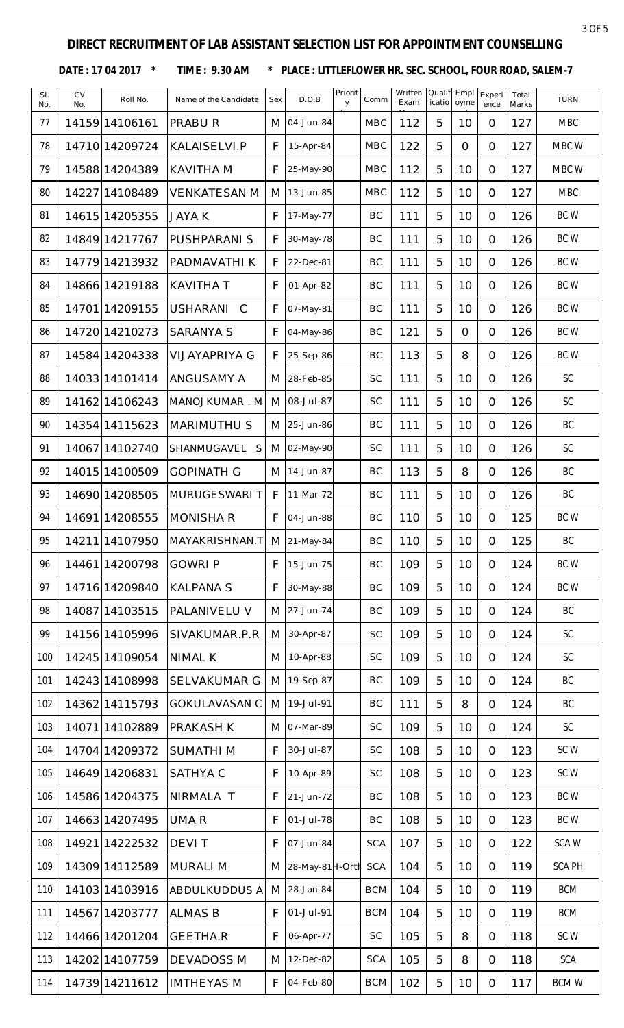DATE: 17 04 2017 \* TIME: 9.30 AM \* PLACE: LITTLEFLOWER HR. SEC. SCHOOL, FOUR ROAD, SALEM-7

| SI.<br>No. | <b>CV</b><br>No. | Roll No.        | Name of the Candidate           | Sex | D.O.B              | Priorit<br>y | Comm       | Written<br>Exam | Qualif<br>icatio | Empl<br>oyme    | Experi<br>ence | Total<br>Marks | <b>TURN</b>   |
|------------|------------------|-----------------|---------------------------------|-----|--------------------|--------------|------------|-----------------|------------------|-----------------|----------------|----------------|---------------|
| 77         |                  | 14159 14106161  | <b>PRABUR</b>                   | M   | 04-Jun-84          |              | <b>MBC</b> | 112             | 5                | 10              | $\Omega$       | 127            | <b>MBC</b>    |
| 78         |                  | 14710 1420 9724 | KALAISELVI.P                    | F   | 15-Apr-84          |              | <b>MBC</b> | 122             | 5                | $\overline{O}$  | $\overline{O}$ | 127            | MBC W         |
| 79         |                  | 14588 14204389  | <b>KAVITHA M</b>                | F   | 25-May-90          |              | <b>MBC</b> | 112             | 5                | 10              | $\overline{O}$ | 127            | MBC W         |
| 80         |                  | 14227 14108489  | <b>VENKATESAN M</b>             | M   | 13-Jun-85          |              | <b>MBC</b> | 112             | 5                | 10              | $\Omega$       | 127            | <b>MBC</b>    |
| 81         |                  | 14615 14205355  | JAYA K                          | F   | 17-May-77          |              | BC         | 111             | 5                | 10              | $\Omega$       | 126            | BC W          |
| 82         |                  | 14849 14217767  | PUSHPARANI S                    | F   | 30-May-78          |              | BC         | 111             | 5                | 10              | $\overline{O}$ | 126            | BC W          |
| 83         |                  | 14779 14213932  | PADMAVATHI K                    | F   | 22-Dec-81          |              | BC         | 111             | 5                | 10              | $\overline{O}$ | 126            | BC W          |
| 84         |                  | 14866 14219188  | <b>KAVITHAT</b>                 | F   | 01-Apr-82          |              | BC         | 111             | 5                | 10              | $\overline{O}$ | 126            | BC W          |
| 85         |                  | 14701 14209155  | <b>USHARANI</b><br>$\mathsf{C}$ | F   | 07-May-81          |              | BC         | 111             | 5                | 10              | $\overline{O}$ | 126            | BC W          |
| 86         |                  | 14720 14210273  | <b>SARANYA S</b>                | F   | 04-May-86          |              | BC         | 121             | 5                | $\overline{O}$  | $\Omega$       | 126            | BC W          |
| 87         |                  | 14584 14204338  | VIJAYAPRIYA G                   | F   | 25-Sep-86          |              | BC         | 113             | 5                | 8               | $\overline{O}$ | 126            | BC W          |
| 88         |                  | 14033 14101414  | <b>ANGUSAMY A</b>               |     | M 28-Feb-85        |              | <b>SC</b>  | 111             | 5                | 10              | $\overline{O}$ | 126            | SC            |
| 89         |                  | 14162 14106243  | MANOJKUMAR . M                  | M   | 08-Jul-87          |              | <b>SC</b>  | 111             | 5                | 10              | $\overline{O}$ | 126            | SC            |
| 90         |                  | 14354 14115623  | <b>MARIMUTHU S</b>              | M   | 25-Jun-86          |              | BC         | 111             | 5                | 10              | $\overline{O}$ | 126            | BC            |
| 91         |                  | 14067 14102740  | SHANMUGAVEL<br>S                | M   | 02-May-90          |              | <b>SC</b>  | 111             | 5                | 10              | $\Omega$       | 126            | SC            |
| 92         |                  | 14015 14100509  | <b>GOPINATH G</b>               | M   | 14-Jun-87          |              | BC         | 113             | 5                | 8               | $\overline{O}$ | 126            | BC            |
| 93         |                  | 14690 14208505  | MURUGESWARI T                   | F   | 11-Mar-72          |              | BC         | 111             | 5                | 10              | $\overline{O}$ | 126            | BC            |
| 94         |                  | 14691 14208555  | <b>MONISHA R</b>                | F   | 04-Jun-88          |              | BC         | 110             | 5                | 10              | $\overline{O}$ | 125            | BC W          |
| 95         |                  | 14211 14107950  | MAYAKRISHNAN.T M 21-May-84      |     |                    |              | BC         | 110             | 片                | 10 <sup>°</sup> | $\overline{O}$ | 125            | BC            |
| 96         |                  | 14461 14200798  | <b>GOWRI P</b>                  | F   | 15-Jun-75          |              | BC         | 109             | 5                | 10              | $\overline{O}$ | 124            | BC W          |
| 97         |                  | 14716 14209840  | <b>KALPANA S</b>                | F   | 30-May-88          |              | BC         | 109             | 5                | 10              | $\Omega$       | 124            | BC W          |
| 98         |                  | 14087 14103515  | PALANIVELU V                    |     | M 27-Jun-74        |              | BC         | 109             | 5                | 10              | $\overline{O}$ | 124            | BC            |
| 99         |                  | 14156 14105996  | SIVAKUMAR.P.R                   | M   | 30-Apr-87          |              | <b>SC</b>  | 109             | 5                | 10              | $\Omega$       | 124            | SC            |
| 100        |                  | 14245 14109054  | <b>NIMAL K</b>                  | M   | 10-Apr-88          |              | SC         | 109             | 5                | 10              | $\overline{O}$ | 124            | SC            |
| 101        |                  | 14243 14108998  | <b>SELVAKUMAR G</b>             | M   | 19-Sep-87          |              | BC         | 109             | 5                | 10              | $\Omega$       | 124            | BC            |
| 102        |                  | 14362 14115793  | <b>GOKULAVASAN C</b>            | M   | 19-Jul-91          |              | BC         | 111             | 5                | 8               | $\overline{O}$ | 124            | BC            |
| 103        |                  | 14071 14102889  | <b>PRAKASH K</b>                |     | M 07-Mar-89        |              | <b>SC</b>  | 109             | 5                | 10              | $\overline{O}$ | 124            | $\mathsf{SC}$ |
| 104        |                  | 14704 14209372  | <b>SUMATHIM</b>                 | F   | 30-Jul-87          |              | <b>SC</b>  | 108             | 5                | 10              | $\overline{O}$ | 123            | SCW           |
| 105        |                  | 14649 14206831  | SATHYA C                        | F   | 10-Apr-89          |              | SC         | 108             | 5                | 10              | $\overline{O}$ | 123            | SC W          |
| 106        |                  | 14586 14204375  | NIRMALA T                       | F   | 21-Jun-72          |              | BC         | 108             | 5                | 10              | $\Omega$       | 123            | BC W          |
| 107        |                  | 14663 14207495  | UMA R                           | F   | 01-Jul-78          |              | BC         | 108             | 5                | 10              | $\Omega$       | 123            | BC W          |
| 108        |                  | 14921 14222532  | <b>DEVIT</b>                    | F   | 07-Jun-84          |              | <b>SCA</b> | 107             | 5                | 10              | $\Omega$       | 122            | SCA W         |
| 109        |                  | 14309 14112589  | <b>MURALI M</b>                 |     | M 28-May-81 H-Orth |              | <b>SCA</b> | 104             | 5                | 10              | $\Omega$       | 119            | <b>SCA PH</b> |
| 110        |                  | 14103 14103916  | <b>ABDULKUDDUS A</b>            | M   | 28-Jan-84          |              | <b>BCM</b> | 104             | 5                | 10              | $\overline{O}$ | 119            | <b>BCM</b>    |
| 111        |                  | 14567 14203777  | <b>ALMAS B</b>                  | F   | 01-Jul-91          |              | <b>BCM</b> | 104             | 5                | 10              | $\overline{O}$ | 119            | <b>BCM</b>    |
| 112        |                  | 14466 14201204  | <b>GEETHA.R</b>                 | F   | 06-Apr-77          |              | <b>SC</b>  | 105             | 5                | 8               | $\overline{O}$ | 118            | SC W          |
| 113        |                  | 14202 14107759  | <b>DEVADOSS M</b>               | M   | 12-Dec-82          |              | <b>SCA</b> | 105             | 5                | 8               | $\overline{O}$ | 118            | <b>SCA</b>    |
| 114        |                  | 14739 14211612  | <b>IMTHEYAS M</b>               | F   | 04-Feb-80          |              | <b>BCM</b> | 102             | 5                | 10              | $\overline{O}$ | 117            | <b>BCMW</b>   |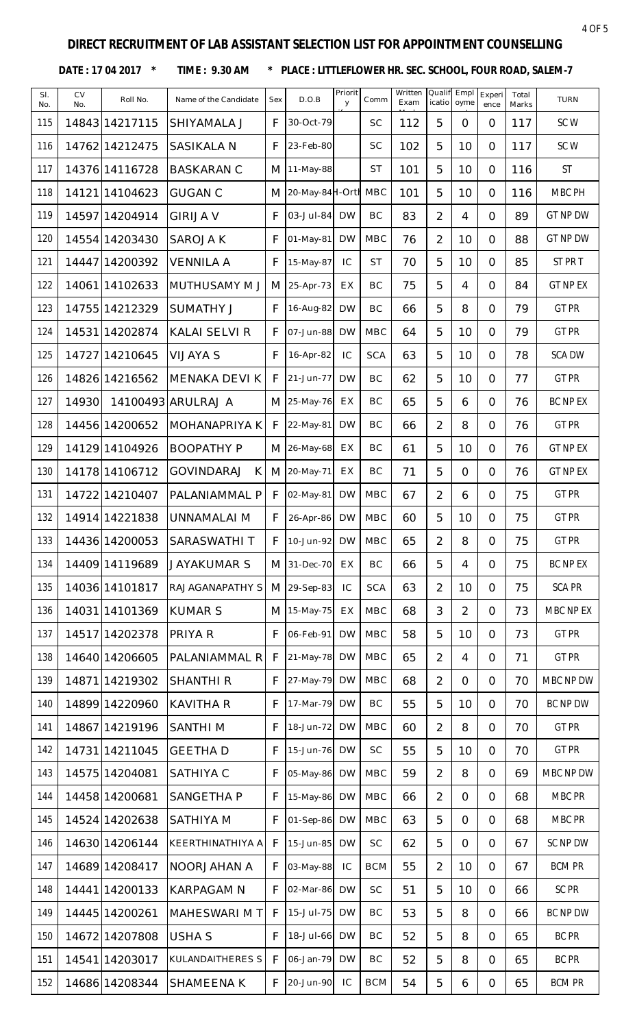DATE: 17 04 2017 \* TIME: 9.30 AM \* PLACE: LITTLEFLOWER HR. SEC. SCHOOL, FOUR ROAD, SALEM-7

| SI.<br>No. | CV<br>No. | Roll No.       | Name of the Candidate  | Sex | D.O.B            | Priorit<br>y | Comm       | Written<br>Exam | Qualif<br>icatio | Empl<br>oyme   | Experi<br>ence | Total<br>Marks | <b>TURN</b>     |
|------------|-----------|----------------|------------------------|-----|------------------|--------------|------------|-----------------|------------------|----------------|----------------|----------------|-----------------|
| 115        |           | 14843 14217115 | <b>SHIYAMALA J</b>     | F   | 30-Oct-79        |              | <b>SC</b>  | 112             | 5                | $\overline{O}$ | $\Omega$       | 117            | SCW             |
| 116        |           | 14762 14212475 | <b>SASIKALA N</b>      | F   | 23-Feb-80        |              | <b>SC</b>  | 102             | 5                | 10             | $\overline{O}$ | 117            | SCW             |
| 117        |           | 14376 14116728 | <b>BASKARAN C</b>      | M   | 11-May-88        |              | <b>ST</b>  | 101             | 5                | 10             | $\overline{O}$ | 116            | <b>ST</b>       |
| 118        |           | 14121 14104623 | <b>GUGAN C</b>         | M   | 20-May-84 H-Orth |              | <b>MBC</b> | 101             | 5                | 10             | $\Omega$       | 116            | MBC PH          |
| 119        |           | 14597 14204914 | <b>GIRIJA V</b>        | F   | 03-Jul-84        | <b>DW</b>    | BC         | 83              | 2                | 4              | $\overline{O}$ | 89             | <b>GT NP DW</b> |
| 120        |           | 14554 14203430 | SAROJA K               | F   | 01-May-81        | <b>DW</b>    | <b>MBC</b> | 76              | $\overline{2}$   | 10             | $\overline{O}$ | 88             | <b>GT NP DW</b> |
| 121        |           | 14447 14200392 | <b>VENNILA A</b>       | F   | 15-May-87        | IC           | <b>ST</b>  | 70              | 5                | 10             | $\overline{O}$ | 85             | ST PR T         |
| 122        |           | 14061 14102633 | <b>MUTHUSAMY M J</b>   | M   | 25-Apr-73        | EX           | BC         | 75              | 5                | 4              | $\overline{O}$ | 84             | <b>GT NP EX</b> |
| 123        |           | 14755 14212329 | <b>SUMATHY J</b>       | F   | 16-Aug-82        | <b>DW</b>    | BC         | 66              | 5                | 8              | $\overline{O}$ | 79             | <b>GT PR</b>    |
| 124        |           | 14531 14202874 | <b>KALAI SELVI R</b>   | F   | 07-Jun-88        | <b>DW</b>    | <b>MBC</b> | 64              | 5                | 10             | $\overline{O}$ | 79             | <b>GT PR</b>    |
| 125        |           | 1472714210645  | <b>VIJAYA S</b>        | F   | 16-Apr-82        | IC           | <b>SCA</b> | 63              | 5                | 10             | $\overline{O}$ | 78             | <b>SCA DW</b>   |
| 126        |           | 14826 14216562 | <b>MENAKA DEVI K</b>   | F   | 21-Jun-77        | <b>DW</b>    | BC         | 62              | 5                | 10             | $\overline{O}$ | 77             | <b>GT PR</b>    |
| 127        | 14930     |                | 14100493 ARULRAJ A     | M   | 25-May-76        | EX           | BC         | 65              | 5                | 6              | $\overline{O}$ | 76             | <b>BC NP EX</b> |
| 128        |           | 14456 14200652 | MOHANAPRIYA K          | F   | 22-May-81        | <b>DW</b>    | BC         | 66              | $\overline{2}$   | 8              | $\Omega$       | 76             | <b>GT PR</b>    |
| 129        |           | 14129 14104926 | <b>BOOPATHY P</b>      | M   | 26-May-68        | EX           | BC         | 61              | 5                | 10             | $\overline{O}$ | 76             | <b>GT NP EX</b> |
| 130        |           | 14178 14106712 | <b>GOVINDARAJ</b><br>К |     | M 20-May-71      | EX           | BC         | 71              | 5                | $\overline{O}$ | $\overline{O}$ | 76             | <b>GT NP EX</b> |
| 131        |           | 14722 14210407 | PALANIAMMAL P          | F   | 02-May-81        | <b>DW</b>    | <b>MBC</b> | 67              | $\overline{2}$   | 6              | $\overline{O}$ | 75             | <b>GT PR</b>    |
| 132        |           | 14914 14221838 | UNNAMALAI M            | F   | 26-Apr-86        | <b>DW</b>    | <b>MBC</b> | 60              | 5                | 10             | $\overline{O}$ | 75             | <b>GT PR</b>    |
| 133        |           | 14436 14200053 | SARASWATHI T           | F   | 10-Jun-92        | <b>DW</b>    | <b>MBC</b> | 65              | $\overline{2}$   | 8              | $\Omega$       | 75             | <b>GT PR</b>    |
| 134        |           | 14409 14119689 | JAYAKUMAR S            | M   | 31-Dec-70        | EX           | BC         | 66              | 5                | 4              | $\Omega$       | 75             | <b>BC NP EX</b> |
| 135        |           | 14036 14101817 | RAJAGANAPATHY S        | M   | 29-Sep-83        | IC           | <b>SCA</b> | 63              | $\overline{2}$   | 10             | $\Omega$       | 75             | <b>SCA PR</b>   |
| 136        |           | 14031 14101369 | <b>KUMAR S</b>         | M   | 15-May-75        | EX           | <b>MBC</b> | 68              | 3                | $\overline{2}$ | $\overline{O}$ | 73             | MBC NP EX       |
| 137        |           | 14517 14202378 | <b>PRIYA R</b>         | F   | 06-Feb-91        | <b>DW</b>    | <b>MBC</b> | 58              | 5                | 10             | $\overline{O}$ | 73             | <b>GT PR</b>    |
| 138        |           | 14640 14206605 | PALANIAMMAL R          | F   | 21-May-78        | <b>DW</b>    | <b>MBC</b> | 65              | $\overline{2}$   | $\overline{4}$ | $\Omega$       | 71             | <b>GT PR</b>    |
| 139        |           | 14871 14219302 | <b>SHANTHI R</b>       | F   | 27-May-79        | <b>DW</b>    | <b>MBC</b> | 68              | $\overline{2}$   | $\overline{O}$ | $\overline{O}$ | 70             | MBC NP DW       |
| 140        |           | 14899 14220960 | <b>KAVITHA R</b>       | F   | 17-Mar-79        | <b>DW</b>    | <b>BC</b>  | 55              | 5                | 10             | $\overline{O}$ | 70             | BC NP DW        |
| 141        |           | 14867 14219196 | <b>SANTHIM</b>         | F   | 18-Jun-72        | <b>DW</b>    | <b>MBC</b> | 60              | $\overline{2}$   | 8              | $\overline{O}$ | 70             | GT PR           |
| 142        |           | 14731 14211045 | <b>GEETHAD</b>         | F   | 15-Jun-76        | <b>DW</b>    | <b>SC</b>  | 55              | 5                | 10             | $\overline{O}$ | 70             | <b>GT PR</b>    |
| 143        |           | 14575 14204081 | <b>SATHIYA C</b>       | F   | 05-May-86        | <b>DW</b>    | <b>MBC</b> | 59              | $\overline{2}$   | 8              | $\overline{O}$ | 69             | MBC NP DW       |
| 144        |           | 14458 14200681 | SANGETHA P             | F   | 15-May-86        | <b>DW</b>    | MBC        | 66              | $\overline{2}$   | $\overline{O}$ | $\Omega$       | 68             | MBC PR          |
| 145        |           | 14524 14202638 | <b>SATHIYA M</b>       | F   | 01-Sep-86        | <b>DW</b>    | <b>MBC</b> | 63              | 5                | $\overline{O}$ | $\overline{O}$ | 68             | MBC PR          |
| 146        |           | 14630 14206144 | KEERTHINATHIYA A       | F   | 15-Jun-85        | <b>DW</b>    | <b>SC</b>  | 62              | 5                | $\overline{O}$ | $\overline{O}$ | 67             | SC NP DW        |
| 147        |           | 14689 14208417 | <b>NOORJAHAN A</b>     | F   | 03-May-88        | IC           | <b>BCM</b> | 55              | $\overline{2}$   | 10             | $\overline{O}$ | 67             | <b>BCM PR</b>   |
| 148        |           | 14441 14200133 | <b>KARPAGAM N</b>      | F   | 02-Mar-86        | <b>DW</b>    | <b>SC</b>  | 51              | 5                | 10             | $\overline{O}$ | 66             | SC PR           |
| 149        |           | 14445 14200261 | <b>MAHESWARI M T</b>   | F   | 15-Jul-75        | <b>DW</b>    | BC         | 53              | 5                | 8              | $\overline{O}$ | 66             | BC NP DW        |
| 150        |           | 14672 14207808 | <b>USHA S</b>          | F   | 18-Jul-66        | <b>DW</b>    | <b>BC</b>  | 52              | 5                | 8              | $\overline{O}$ | 65             | <b>BC PR</b>    |
| 151        |           | 14541 14203017 | KULANDAITHERES S       | F   | 06-Jan-79        | <b>DW</b>    | <b>BC</b>  | 52              | 5                | 8              | $\overline{O}$ | 65             | <b>BC PR</b>    |
| 152        |           | 14686 14208344 | <b>SHAMEENA K</b>      | F   | 20-Jun-90        | IC           | <b>BCM</b> | 54              | 5                | 6              | $\overline{O}$ | 65             | <b>BCM PR</b>   |